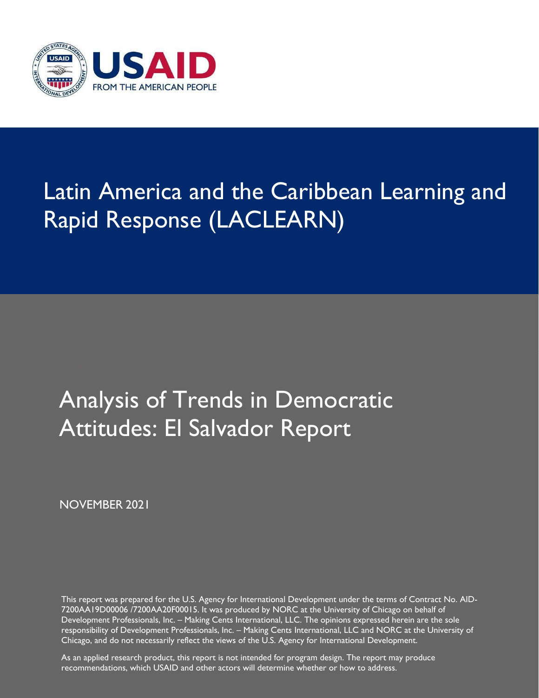

# Latin America and the Caribbean Learning and Rapid Response (LACLEARN)

## Analysis of Trends in Democratic Attitudes: El Salvador Report

NOVEMBER 2021

This report was prepared for the U.S. Agency for International Development under the terms of Contract No. AID-7200AA19D00006 /7200AA20F00015. It was produced by NORC at the University of Chicago on behalf of Development Professionals, Inc. – Making Cents International, LLC. The opinions expressed herein are the sole responsibility of Development Professionals, Inc. – Making Cents International, LLC and NORC at the University of Chicago, and do not necessarily reflect the views of the U.S. Agency for International Development.

As an applied research product, this report is not intended for program design. The report may produce recommendations, which USAID and other actors will determine whether or how to address.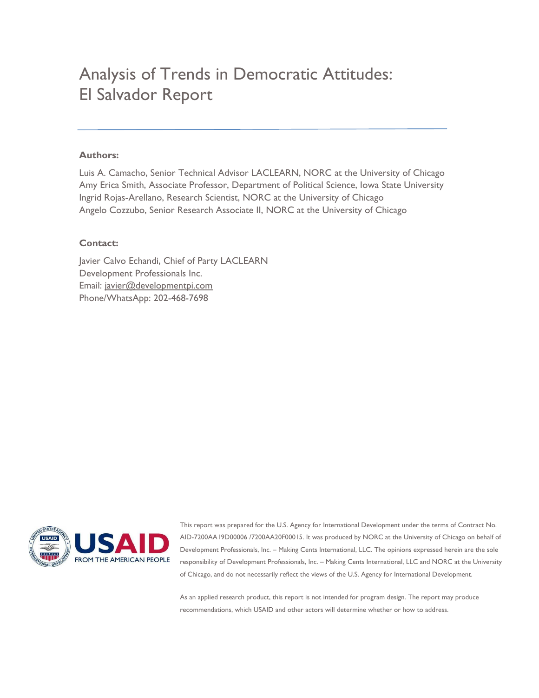## Analysis of Trends in Democratic Attitudes: El Salvador Report

#### **Authors:**

Luis A. Camacho, Senior Technical Advisor LACLEARN, NORC at the University of Chicago Amy Erica Smith, Associate Professor, Department of Political Science, Iowa State University Ingrid Rojas-Arellano, Research Scientist, NORC at the University of Chicago Angelo Cozzubo, Senior Research Associate II, NORC at the University of Chicago

#### **Contact:**

Javier Calvo Echandi, Chief of Party LACLEARN Development Professionals Inc. Email: javier@developmentpi.com Phone/WhatsApp: 202-468-7698



This report was prepared for the U.S. Agency for International Development under the terms of Contract No. AID-7200AA19D00006 /7200AA20F00015. It was produced by NORC at the University of Chicago on behalf of Development Professionals, Inc. – Making Cents International, LLC. The opinions expressed herein are the sole responsibility of Development Professionals, Inc. – Making Cents International, LLC and NORC at the University of Chicago, and do not necessarily reflect the views of the U.S. Agency for International Development.

As an applied research product, this report is not intended for program design. The report may produce recommendations, which USAID and other actors will determine whether or how to address.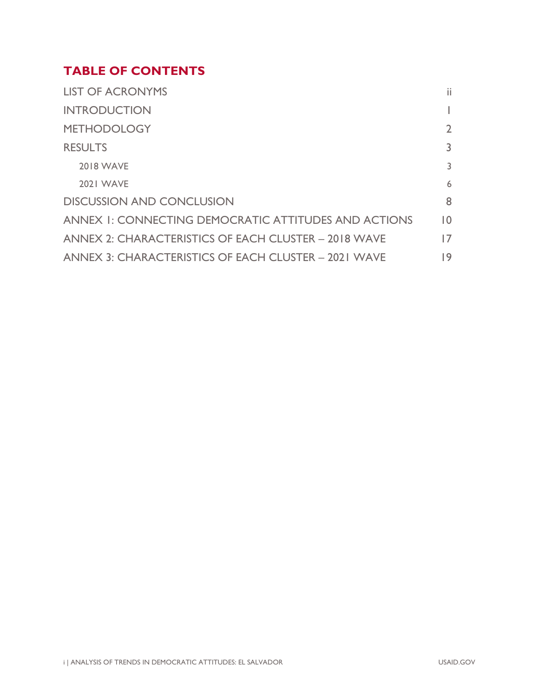## **TABLE OF CONTENTS**

| <b>LIST OF ACRONYMS</b>                              | ii              |
|------------------------------------------------------|-----------------|
| <b>INTRODUCTION</b>                                  |                 |
| <b>METHODOLOGY</b>                                   | $\overline{2}$  |
| <b>RESULTS</b>                                       | 3               |
| <b>2018 WAVE</b>                                     | 3               |
| <b>2021 WAVE</b>                                     | 6               |
| <b>DISCUSSION AND CONCLUSION</b>                     | 8               |
| ANNEX I: CONNECTING DEMOCRATIC ATTITUDES AND ACTIONS | $\overline{10}$ |
| ANNEX 2: CHARACTERISTICS OF EACH CLUSTER - 2018 WAVE | 17              |
| ANNEX 3: CHARACTERISTICS OF EACH CLUSTER - 2021 WAVE | 19              |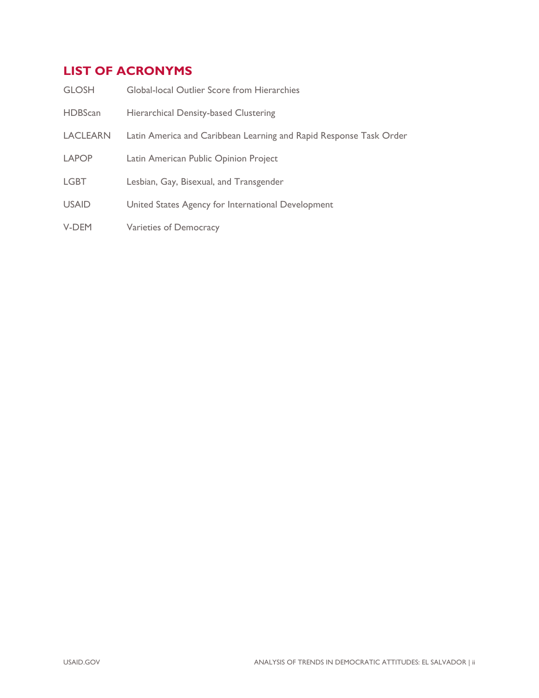## **LIST OF ACRONYMS**

| <b>GLOSH</b>    | Global-local Outlier Score from Hierarchies                        |
|-----------------|--------------------------------------------------------------------|
| <b>HDBScan</b>  | <b>Hierarchical Density-based Clustering</b>                       |
| <b>LACLEARN</b> | Latin America and Caribbean Learning and Rapid Response Task Order |
| <b>LAPOP</b>    | Latin American Public Opinion Project                              |
| <b>LGBT</b>     | Lesbian, Gay, Bisexual, and Transgender                            |
| <b>USAID</b>    | United States Agency for International Development                 |
| V-DEM           | Varieties of Democracy                                             |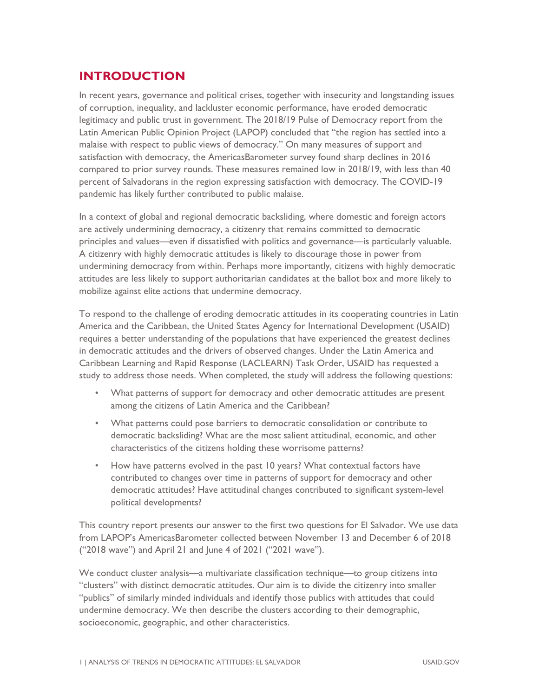## **INTRODUCTION**

In recent years, governance and political crises, together with insecurity and longstanding issues of corruption, inequality, and lackluster economic performance, have eroded democratic legitimacy and public trust in government. The 2018/19 Pulse of Democracy report from the Latin American Public Opinion Project (LAPOP) concluded that "the region has settled into a malaise with respect to public views of democracy." On many measures of support and satisfaction with democracy, the AmericasBarometer survey found sharp declines in 2016 compared to prior survey rounds. These measures remained low in 2018/19, with less than 40 percent of Salvadorans in the region expressing satisfaction with democracy. The COVID-19 pandemic has likely further contributed to public malaise.

In a context of global and regional democratic backsliding, where domestic and foreign actors are actively undermining democracy, a citizenry that remains committed to democratic principles and values—even if dissatisfied with politics and governance—is particularly valuable. A citizenry with highly democratic attitudes is likely to discourage those in power from undermining democracy from within. Perhaps more importantly, citizens with highly democratic attitudes are less likely to support authoritarian candidates at the ballot box and more likely to mobilize against elite actions that undermine democracy.

To respond to the challenge of eroding democratic attitudes in its cooperating countries in Latin America and the Caribbean, the United States Agency for International Development (USAID) requires a better understanding of the populations that have experienced the greatest declines in democratic attitudes and the drivers of observed changes. Under the Latin America and Caribbean Learning and Rapid Response (LACLEARN) Task Order, USAID has requested a study to address those needs. When completed, the study will address the following questions:

- What patterns of support for democracy and other democratic attitudes are present among the citizens of Latin America and the Caribbean?
- What patterns could pose barriers to democratic consolidation or contribute to democratic backsliding? What are the most salient attitudinal, economic, and other characteristics of the citizens holding these worrisome patterns?
- How have patterns evolved in the past 10 years? What contextual factors have contributed to changes over time in patterns of support for democracy and other democratic attitudes? Have attitudinal changes contributed to significant system-level political developments?

This country report presents our answer to the first two questions for El Salvador. We use data from LAPOP's AmericasBarometer collected between November 13 and December 6 of 2018 ("2018 wave") and April 21 and June 4 of 2021 ("2021 wave").

We conduct cluster analysis—a multivariate classification technique—to group citizens into "clusters" with distinct democratic attitudes. Our aim is to divide the citizenry into smaller "publics" of similarly minded individuals and identify those publics with attitudes that could undermine democracy. We then describe the clusters according to their demographic, socioeconomic, geographic, and other characteristics.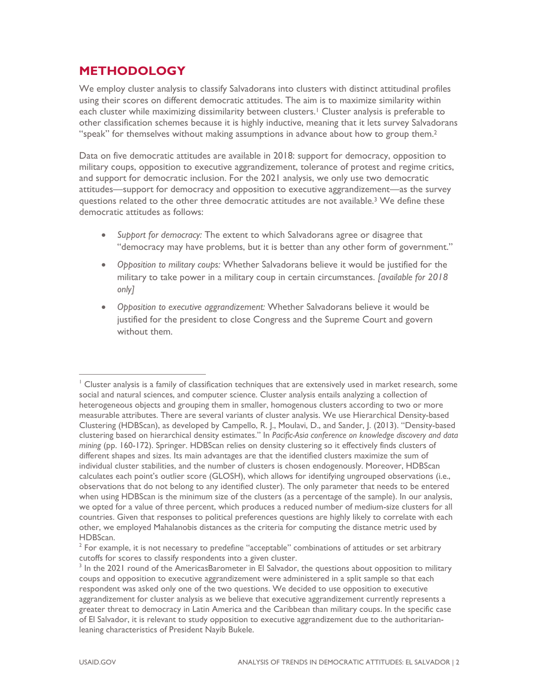### **METHODOLOGY**

We employ cluster analysis to classify Salvadorans into clusters with distinct attitudinal profiles using their scores on different democratic attitudes. The aim is to maximize similarity within each cluster while maximizing dissimilarity between clusters.<sup>1</sup> Cluster analysis is preferable to other classification schemes because it is highly inductive, meaning that it lets survey Salvadorans "speak" for themselves without making assumptions in advance about how to group them.<sup>2</sup>

Data on five democratic attitudes are available in 2018: support for democracy, opposition to military coups, opposition to executive aggrandizement, tolerance of protest and regime critics, and support for democratic inclusion. For the 2021 analysis, we only use two democratic attitudes—support for democracy and opposition to executive aggrandizement—as the survey questions related to the other three democratic attitudes are not available.<sup>3</sup> We define these democratic attitudes as follows:

- *Support for democracy:* The extent to which Salvadorans agree or disagree that "democracy may have problems, but it is better than any other form of government."
- *Opposition to military coups:* Whether Salvadorans believe it would be justified for the military to take power in a military coup in certain circumstances. *[available for 2018 only]*
- *Opposition to executive aggrandizement:* Whether Salvadorans believe it would be justified for the president to close Congress and the Supreme Court and govern without them.

<sup>1</sup> Cluster analysis is a family of classification techniques that are extensively used in market research, some social and natural sciences, and computer science. Cluster analysis entails analyzing a collection of heterogeneous objects and grouping them in smaller, homogenous clusters according to two or more measurable attributes. There are several variants of cluster analysis. We use Hierarchical Density-based Clustering (HDBScan), as developed by Campello, R. J., Moulavi, D., and Sander, J. (2013). "Density-based clustering based on hierarchical density estimates." In *Pacific-Asia conference on knowledge discovery and data mining* (pp. 160-172). Springer. HDBScan relies on density clustering so it effectively finds clusters of different shapes and sizes. Its main advantages are that the identified clusters maximize the sum of individual cluster stabilities, and the number of clusters is chosen endogenously. Moreover, HDBScan calculates each point's outlier score (GLOSH), which allows for identifying ungrouped observations (i.e., observations that do not belong to any identified cluster). The only parameter that needs to be entered when using HDBScan is the minimum size of the clusters (as a percentage of the sample). In our analysis, we opted for a value of three percent, which produces a reduced number of medium-size clusters for all countries. Given that responses to political preferences questions are highly likely to correlate with each other, we employed Mahalanobis distances as the criteria for computing the distance metric used by HDBScan.

 $2$  For example, it is not necessary to predefine "acceptable" combinations of attitudes or set arbitrary cutoffs for scores to classify respondents into a given cluster.

 $3$  In the 2021 round of the AmericasBarometer in El Salvador, the questions about opposition to military coups and opposition to executive aggrandizement were administered in a split sample so that each respondent was asked only one of the two questions. We decided to use opposition to executive aggrandizement for cluster analysis as we believe that executive aggrandizement currently represents a greater threat to democracy in Latin America and the Caribbean than military coups. In the specific case of El Salvador, it is relevant to study opposition to executive aggrandizement due to the authoritarianleaning characteristics of President Nayib Bukele.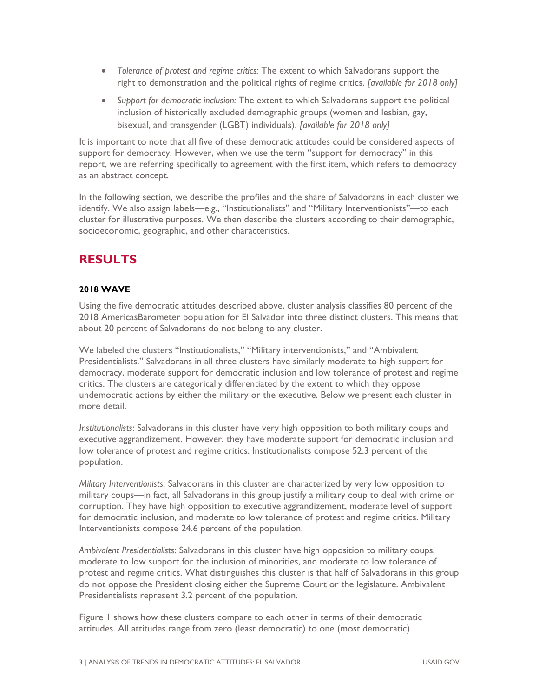- *Tolerance of protest and regime critics:* The extent to which Salvadorans support the right to demonstration and the political rights of regime critics. *[available for 2018 only]*
- *Support for democratic inclusion:* The extent to which Salvadorans support the political inclusion of historically excluded demographic groups (women and lesbian, gay, bisexual, and transgender (LGBT) individuals). *[available for 2018 only]*

It is important to note that all five of these democratic attitudes could be considered aspects of support for democracy. However, when we use the term "support for democracy" in this report, we are referring specifically to agreement with the first item, which refers to democracy as an abstract concept.

In the following section, we describe the profiles and the share of Salvadorans in each cluster we identify. We also assign labels—e.g., "Institutionalists" and "Military Interventionists"—to each cluster for illustrative purposes. We then describe the clusters according to their demographic, socioeconomic, geographic, and other characteristics.

## **RESULTS**

#### **2018 WAVE**

Using the five democratic attitudes described above, cluster analysis classifies 80 percent of the 2018 AmericasBarometer population for El Salvador into three distinct clusters. This means that about 20 percent of Salvadorans do not belong to any cluster.

We labeled the clusters "Institutionalists," "Military interventionists," and "Ambivalent Presidentialists." Salvadorans in all three clusters have similarly moderate to high support for democracy, moderate support for democratic inclusion and low tolerance of protest and regime critics. The clusters are categorically differentiated by the extent to which they oppose undemocratic actions by either the military or the executive. Below we present each cluster in more detail.

*Institutionalists*: Salvadorans in this cluster have very high opposition to both military coups and executive aggrandizement. However, they have moderate support for democratic inclusion and low tolerance of protest and regime critics. Institutionalists compose 52.3 percent of the population.

*Military Interventionists*: Salvadorans in this cluster are characterized by very low opposition to military coups—in fact, all Salvadorans in this group justify a military coup to deal with crime or corruption. They have high opposition to executive aggrandizement, moderate level of support for democratic inclusion, and moderate to low tolerance of protest and regime critics. Military Interventionists compose 24.6 percent of the population.

*Ambivalent Presidentialists*: Salvadorans in this cluster have high opposition to military coups, moderate to low support for the inclusion of minorities, and moderate to low tolerance of protest and regime critics. What distinguishes this cluster is that half of Salvadorans in this group do not oppose the President closing either the Supreme Court or the legislature. Ambivalent Presidentialists represent 3.2 percent of the population.

Figure 1 shows how these clusters compare to each other in terms of their democratic attitudes. All attitudes range from zero (least democratic) to one (most democratic).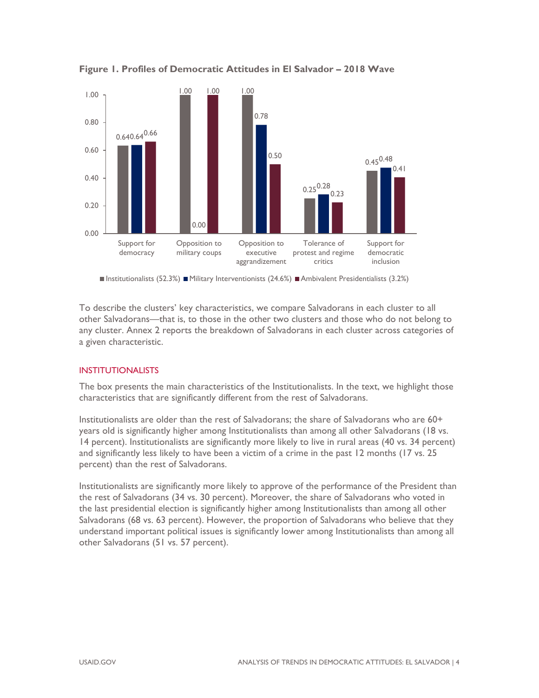

**Figure 1. Profiles of Democratic Attitudes in El Salvador – 2018 Wave** 

Institutionalists (52.3%) Military Interventionists (24.6%) Ambivalent Presidentialists (3.2%)

To describe the clusters' key characteristics, we compare Salvadorans in each cluster to all other Salvadorans—that is, to those in the other two clusters and those who do not belong to any cluster. Annex 2 reports the breakdown of Salvadorans in each cluster across categories of a given characteristic.

#### INSTITUTIONALISTS

The box presents the main characteristics of the Institutionalists. In the text, we highlight those characteristics that are significantly different from the rest of Salvadorans.

Institutionalists are older than the rest of Salvadorans; the share of Salvadorans who are 60+ years old is significantly higher among Institutionalists than among all other Salvadorans (18 vs. 14 percent). Institutionalists are significantly more likely to live in rural areas (40 vs. 34 percent) and significantly less likely to have been a victim of a crime in the past 12 months (17 vs. 25 percent) than the rest of Salvadorans.

Institutionalists are significantly more likely to approve of the performance of the President than the rest of Salvadorans (34 vs. 30 percent). Moreover, the share of Salvadorans who voted in the last presidential election is significantly higher among Institutionalists than among all other Salvadorans (68 vs. 63 percent). However, the proportion of Salvadorans who believe that they understand important political issues is significantly lower among Institutionalists than among all other Salvadorans (51 vs. 57 percent).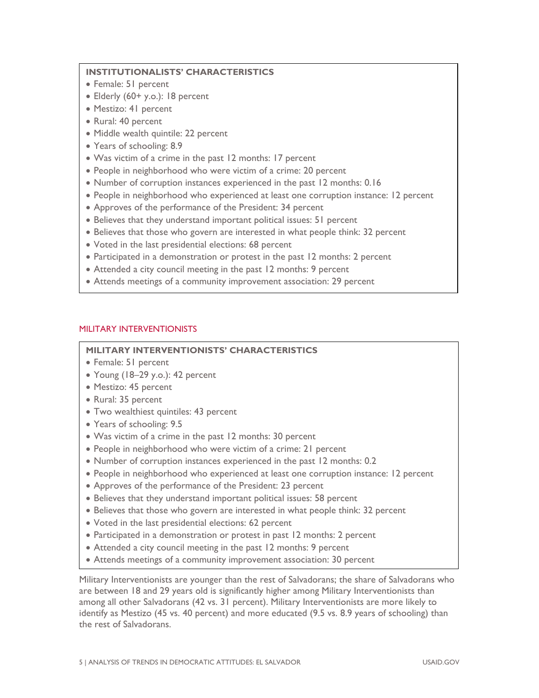#### **INSTITUTIONALISTS' CHARACTERISTICS**

- Female: 51 percent
- Elderly (60+ y.o.): 18 percent
- Mestizo: 41 percent
- Rural: 40 percent
- Middle wealth quintile: 22 percent
- Years of schooling: 8.9
- Was victim of a crime in the past 12 months: 17 percent
- People in neighborhood who were victim of a crime: 20 percent
- Number of corruption instances experienced in the past 12 months: 0.16
- People in neighborhood who experienced at least one corruption instance: 12 percent
- Approves of the performance of the President: 34 percent
- Believes that they understand important political issues: 51 percent
- Believes that those who govern are interested in what people think: 32 percent
- Voted in the last presidential elections: 68 percent
- Participated in a demonstration or protest in the past 12 months: 2 percent
- Attended a city council meeting in the past 12 months: 9 percent
- Attends meetings of a community improvement association: 29 percent

#### MILITARY INTERVENTIONISTS

#### **MILITARY INTERVENTIONISTS' CHARACTERISTICS**

- Female: 51 percent
- Young (18–29 y.o.): 42 percent
- Mestizo: 45 percent
- Rural: 35 percent
- Two wealthiest quintiles: 43 percent
- Years of schooling: 9.5
- Was victim of a crime in the past 12 months: 30 percent
- People in neighborhood who were victim of a crime: 21 percent
- Number of corruption instances experienced in the past 12 months: 0.2
- People in neighborhood who experienced at least one corruption instance: 12 percent
- Approves of the performance of the President: 23 percent
- Believes that they understand important political issues: 58 percent
- Believes that those who govern are interested in what people think: 32 percent
- Voted in the last presidential elections: 62 percent
- Participated in a demonstration or protest in past 12 months: 2 percent
- Attended a city council meeting in the past 12 months: 9 percent
- Attends meetings of a community improvement association: 30 percent

Military Interventionists are younger than the rest of Salvadorans; the share of Salvadorans who are between 18 and 29 years old is significantly higher among Military Interventionists than among all other Salvadorans (42 vs. 31 percent). Military Interventionists are more likely to identify as Mestizo (45 vs. 40 percent) and more educated (9.5 vs. 8.9 years of schooling) than the rest of Salvadorans.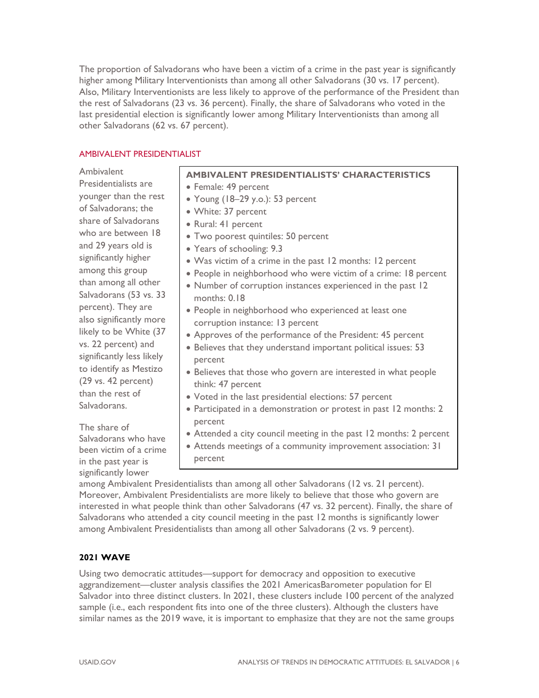The proportion of Salvadorans who have been a victim of a crime in the past year is significantly higher among Military Interventionists than among all other Salvadorans (30 vs. 17 percent). Also, Military Interventionists are less likely to approve of the performance of the President than the rest of Salvadorans (23 vs. 36 percent). Finally, the share of Salvadorans who voted in the last presidential election is significantly lower among Military Interventionists than among all other Salvadorans (62 vs. 67 percent).

#### AMBIVALENT PRESIDENTIALIST

Ambivalent

Presidentialists are younger than the rest of Salvadorans; the share of Salvadorans who are between 18 and 29 years old is significantly higher among this group than among all other Salvadorans (53 vs. 33 percent). They are also significantly more likely to be White (37 vs. 22 percent) and significantly less likely to identify as Mestizo (29 vs. 42 percent) than the rest of Salvadorans. The share of **AMBIVALENT PRESIDENTIALISTS' CHARACTERISTICS**  • Female: 49 percent Young (18–29 y.o.): 53 percent White: 37 percent Rural: 41 percent Two poorest quintiles: 50 percent Years of schooling: 9.3 Was victim of a crime in the past 12 months: 12 percent People in neighborhood who were victim of a crime: 18 percent Number of corruption instances experienced in the past 12 months: 0.18 People in neighborhood who experienced at least one corruption instance: 13 percent Approves of the performance of the President: 45 percent Believes that they understand important political issues: 53 percent Believes that those who govern are interested in what people think: 47 percent Voted in the last presidential elections: 57 percent Participated in a demonstration or protest in past 12 months: 2 percent

Attended a city council meeting in the past 12 months: 2 percent

 Attends meetings of a community improvement association: 31 percent

among Ambivalent Presidentialists than among all other Salvadorans (12 vs. 21 percent). Moreover, Ambivalent Presidentialists are more likely to believe that those who govern are interested in what people think than other Salvadorans (47 vs. 32 percent). Finally, the share of Salvadorans who attended a city council meeting in the past 12 months is significantly lower among Ambivalent Presidentialists than among all other Salvadorans (2 vs. 9 percent).

#### **2021 WAVE**

Salvadorans who have been victim of a crime in the past year is significantly lower

Using two democratic attitudes—support for democracy and opposition to executive aggrandizement—cluster analysis classifies the 2021 AmericasBarometer population for El Salvador into three distinct clusters. In 2021, these clusters include 100 percent of the analyzed sample (i.e., each respondent fits into one of the three clusters). Although the clusters have similar names as the 2019 wave, it is important to emphasize that they are not the same groups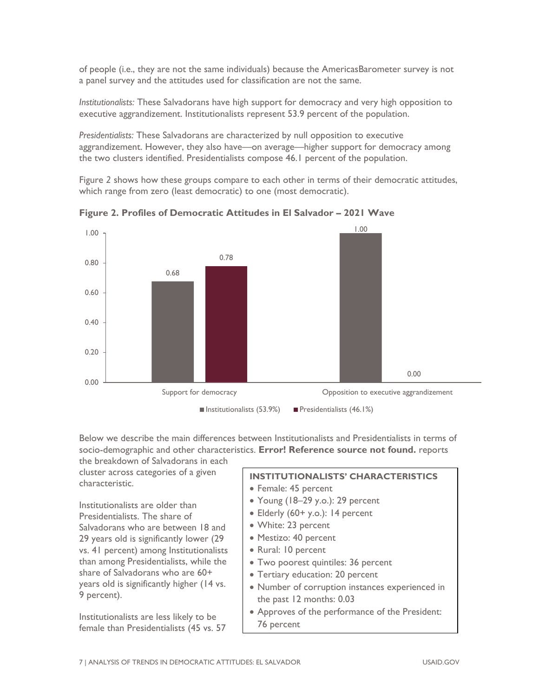of people (i.e., they are not the same individuals) because the AmericasBarometer survey is not a panel survey and the attitudes used for classification are not the same.

*Institutionalists:* These Salvadorans have high support for democracy and very high opposition to executive aggrandizement. Institutionalists represent 53.9 percent of the population.

*Presidentialists:* These Salvadorans are characterized by null opposition to executive aggrandizement. However, they also have—on average—higher support for democracy among the two clusters identified. Presidentialists compose 46.1 percent of the population.

Figure *2* shows how these groups compare to each other in terms of their democratic attitudes, which range from zero (least democratic) to one (most democratic).



**Figure 2. Profiles of Democratic Attitudes in El Salvador – 2021 Wave** 

Below we describe the main differences between Institutionalists and Presidentialists in terms of socio-demographic and other characteristics. **Error! Reference source not found.** reports the breakdown of Salvadorans in each

cluster across categories of a given characteristic.

Institutionalists are older than Presidentialists. The share of Salvadorans who are between 18 and 29 years old is significantly lower (29 vs. 41 percent) among Institutionalists than among Presidentialists, while the share of Salvadorans who are 60+ years old is significantly higher (14 vs. 9 percent).

Institutionalists are less likely to be female than Presidentialists (45 vs. 57

#### **INSTITUTIONALISTS' CHARACTERISTICS**

- Female: 45 percent
- Young (18–29 y.o.): 29 percent
- Elderly (60+ y.o.): 14 percent
- White: 23 percent
- Mestizo: 40 percent
- Rural: 10 percent
- Two poorest quintiles: 36 percent
- Tertiary education: 20 percent
- Number of corruption instances experienced in the past 12 months: 0.03
- Approves of the performance of the President: 76 percent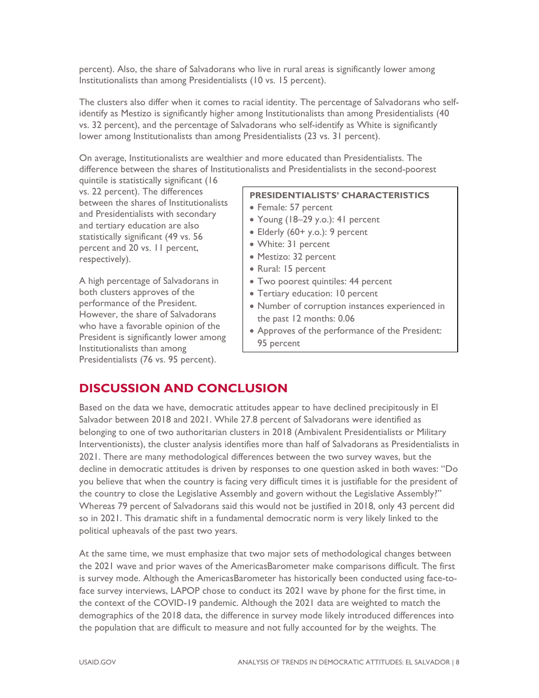percent). Also, the share of Salvadorans who live in rural areas is significantly lower among Institutionalists than among Presidentialists (10 vs. 15 percent).

The clusters also differ when it comes to racial identity. The percentage of Salvadorans who selfidentify as Mestizo is significantly higher among Institutionalists than among Presidentialists (40 vs. 32 percent), and the percentage of Salvadorans who self-identify as White is significantly lower among Institutionalists than among Presidentialists (23 vs. 31 percent).

On average, Institutionalists are wealthier and more educated than Presidentialists. The difference between the shares of Institutionalists and Presidentialists in the second-poorest

quintile is statistically significant (16 vs. 22 percent). The differences between the shares of Institutionalists and Presidentialists with secondary and tertiary education are also statistically significant (49 vs. 56 percent and 20 vs. 11 percent, respectively).

A high percentage of Salvadorans in both clusters approves of the performance of the President. However, the share of Salvadorans who have a favorable opinion of the President is significantly lower among Institutionalists than among Presidentialists (76 vs. 95 percent).

#### **PRESIDENTIALISTS' CHARACTERISTICS**

- Female: 57 percent
- Young (18–29 y.o.): 41 percent
- Elderly (60+ y.o.): 9 percent
- White: 31 percent
- Mestizo: 32 percent
- Rural: 15 percent
- Two poorest quintiles: 44 percent
- Tertiary education: 10 percent
- Number of corruption instances experienced in the past 12 months: 0.06
- Approves of the performance of the President: 95 percent

### **DISCUSSION AND CONCLUSION**

Based on the data we have, democratic attitudes appear to have declined precipitously in El Salvador between 2018 and 2021. While 27.8 percent of Salvadorans were identified as belonging to one of two authoritarian clusters in 2018 (Ambivalent Presidentialists or Military Interventionists), the cluster analysis identifies more than half of Salvadorans as Presidentialists in 2021. There are many methodological differences between the two survey waves, but the decline in democratic attitudes is driven by responses to one question asked in both waves: "Do you believe that when the country is facing very difficult times it is justifiable for the president of the country to close the Legislative Assembly and govern without the Legislative Assembly?" Whereas 79 percent of Salvadorans said this would not be justified in 2018, only 43 percent did so in 2021. This dramatic shift in a fundamental democratic norm is very likely linked to the political upheavals of the past two years.

At the same time, we must emphasize that two major sets of methodological changes between the 2021 wave and prior waves of the AmericasBarometer make comparisons difficult. The first is survey mode. Although the AmericasBarometer has historically been conducted using face-toface survey interviews, LAPOP chose to conduct its 2021 wave by phone for the first time, in the context of the COVID-19 pandemic. Although the 2021 data are weighted to match the demographics of the 2018 data, the difference in survey mode likely introduced differences into the population that are difficult to measure and not fully accounted for by the weights. The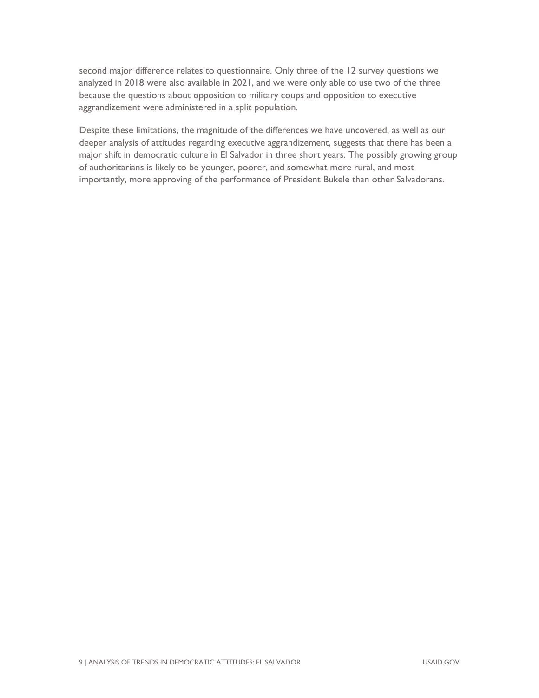second major difference relates to questionnaire. Only three of the 12 survey questions we analyzed in 2018 were also available in 2021, and we were only able to use two of the three because the questions about opposition to military coups and opposition to executive aggrandizement were administered in a split population.

Despite these limitations, the magnitude of the differences we have uncovered, as well as our deeper analysis of attitudes regarding executive aggrandizement, suggests that there has been a major shift in democratic culture in El Salvador in three short years. The possibly growing group of authoritarians is likely to be younger, poorer, and somewhat more rural, and most importantly, more approving of the performance of President Bukele than other Salvadorans.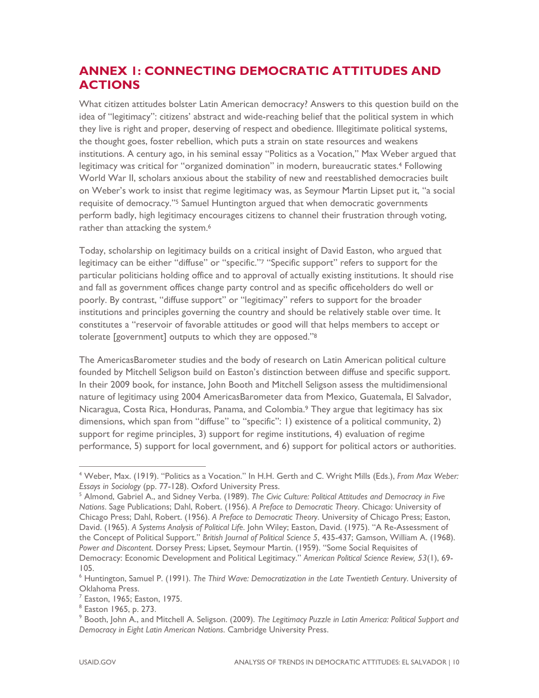## **ANNEX 1: CONNECTING DEMOCRATIC ATTITUDES AND ACTIONS**

What citizen attitudes bolster Latin American democracy? Answers to this question build on the idea of "legitimacy": citizens' abstract and wide-reaching belief that the political system in which they live is right and proper, deserving of respect and obedience. Illegitimate political systems, the thought goes, foster rebellion, which puts a strain on state resources and weakens institutions. A century ago, in his seminal essay "Politics as a Vocation," Max Weber argued that legitimacy was critical for "organized domination" in modern, bureaucratic states.<sup>4</sup> Following World War II, scholars anxious about the stability of new and reestablished democracies built on Weber's work to insist that regime legitimacy was, as Seymour Martin Lipset put it, "a social requisite of democracy."5 Samuel Huntington argued that when democratic governments perform badly, high legitimacy encourages citizens to channel their frustration through voting, rather than attacking the system.<sup>6</sup>

Today, scholarship on legitimacy builds on a critical insight of David Easton, who argued that legitimacy can be either "diffuse" or "specific."7 "Specific support" refers to support for the particular politicians holding office and to approval of actually existing institutions. It should rise and fall as government offices change party control and as specific officeholders do well or poorly. By contrast, "diffuse support" or "legitimacy" refers to support for the broader institutions and principles governing the country and should be relatively stable over time. It constitutes a "reservoir of favorable attitudes or good will that helps members to accept or tolerate [government] outputs to which they are opposed."8

The AmericasBarometer studies and the body of research on Latin American political culture founded by Mitchell Seligson build on Easton's distinction between diffuse and specific support. In their 2009 book, for instance, John Booth and Mitchell Seligson assess the multidimensional nature of legitimacy using 2004 AmericasBarometer data from Mexico, Guatemala, El Salvador, Nicaragua, Costa Rica, Honduras, Panama, and Colombia.9 They argue that legitimacy has six dimensions, which span from "diffuse" to "specific": 1) existence of a political community, 2) support for regime principles, 3) support for regime institutions, 4) evaluation of regime performance, 5) support for local government, and 6) support for political actors or authorities.

<sup>4</sup> Weber, Max. (1919). "Politics as a Vocation." In H.H. Gerth and C. Wright Mills (Eds.), *From Max Weber: Essays in Sociology* (pp. 77-128). Oxford University Press. 5

<sup>&</sup>lt;sup>5</sup> Almond, Gabriel A., and Sidney Verba. (1989). *The Civic Culture: Political Attitudes and Democracy in Five Nations*. Sage Publications; Dahl, Robert. (1956). *A Preface to Democratic Theory*. Chicago: University of Chicago Press; Dahl, Robert. (1956). *A Preface to Democratic Theory*. University of Chicago Press; Easton, David. (1965). *A Systems Analysis of Political Life*. John Wiley; Easton, David. (1975). "A Re-Assessment of the Concept of Political Support." *British Journal of Political Science 5*, 435-437; Gamson, William A. (1968). *Power and Discontent*. Dorsey Press; Lipset, Seymour Martin. (1959). "Some Social Requisites of Democracy: Economic Development and Political Legitimacy." *American Political Science Review, 53*(1), 69- 105.

<sup>6</sup> Huntington, Samuel P. (1991). *The Third Wave: Democratization in the Late Twentieth Century*. University of Oklahoma Press.

 $<sup>7</sup>$  Easton, 1965; Easton, 1975.</sup>

<sup>8</sup> Easton 1965, p. 273.

<sup>9</sup> Booth, John A., and Mitchell A. Seligson. (2009). *The Legitimacy Puzzle in Latin America: Political Support and Democracy in Eight Latin American Nations*. Cambridge University Press.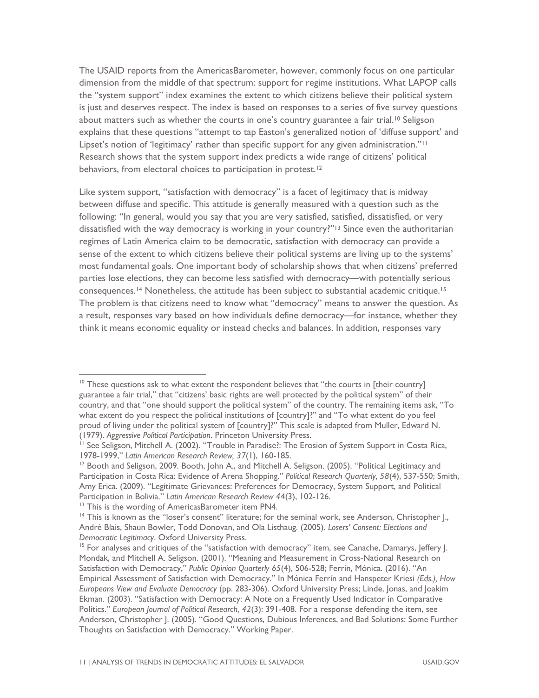The USAID reports from the AmericasBarometer, however, commonly focus on one particular dimension from the middle of that spectrum: support for regime institutions. What LAPOP calls the "system support" index examines the extent to which citizens believe their political system is just and deserves respect. The index is based on responses to a series of five survey questions about matters such as whether the courts in one's country guarantee a fair trial.<sup>10</sup> Seligson explains that these questions "attempt to tap Easton's generalized notion of 'diffuse support' and Lipset's notion of 'legitimacy' rather than specific support for any given administration."<sup>11</sup> Research shows that the system support index predicts a wide range of citizens' political behaviors, from electoral choices to participation in protest.<sup>12</sup>

Like system support, "satisfaction with democracy" is a facet of legitimacy that is midway between diffuse and specific. This attitude is generally measured with a question such as the following: "In general, would you say that you are very satisfied, satisfied, dissatisfied, or very dissatisfied with the way democracy is working in your country?"<sup>13</sup> Since even the authoritarian regimes of Latin America claim to be democratic, satisfaction with democracy can provide a sense of the extent to which citizens believe their political systems are living up to the systems' most fundamental goals. One important body of scholarship shows that when citizens' preferred parties lose elections, they can become less satisfied with democracy—with potentially serious consequences.<sup>14</sup> Nonetheless, the attitude has been subject to substantial academic critique.<sup>15</sup> The problem is that citizens need to know what "democracy" means to answer the question. As a result, responses vary based on how individuals define democracy—for instance, whether they think it means economic equality or instead checks and balances. In addition, responses vary

 $10$  These questions ask to what extent the respondent believes that "the courts in [their country] guarantee a fair trial," that "citizens' basic rights are well protected by the political system" of their country, and that "one should support the political system" of the country. The remaining items ask, "To what extent do you respect the political institutions of [country]?" and "To what extent do you feel proud of living under the political system of [country]?" This scale is adapted from Muller, Edward N.

<sup>(1979).</sup> *Aggressive Political Participation*. Princeton University Press.<br><sup>11</sup> See Seligson, Mitchell A. (2002). "Trouble in Paradise?: The Erosion of System Support in Costa Rica,<br>1978-1999," *Latin American Research Revi* 

<sup>&</sup>lt;sup>12</sup> Booth and Seligson, 2009. Booth, John A., and Mitchell A. Seligson. (2005). "Political Legitimacy and Participation in Costa Rica: Evidence of Arena Shopping." *Political Research Quarterly, 58*(4), 537-550; Smith, Amy Erica. (2009). "Legitimate Grievances: Preferences for Democracy, System Support, and Political Participation in Bolivia." *Latin American Research Review 44*(3), 102-126. <sup>13</sup> This is the wording of AmericasBarometer item PN4.

<sup>&</sup>lt;sup>14</sup> This is known as the "loser's consent" literature; for the seminal work, see Anderson, Christopher J., André Blais, Shaun Bowler, Todd Donovan, and Ola Listhaug. (2005). *Losers' Consent: Elections and Democratic Legitimacy*. Oxford University Press.<br><sup>15</sup> For analyses and critiques of the "satisfaction with democracy" item, see Canache, Damarys, Jeffery J.

Mondak, and Mitchell A. Seligson. (2001). "Meaning and Measurement in Cross-National Research on Satisfaction with Democracy," *Public Opinion Quarterly 65*(4), 506-528; Ferrín, Mónica. (2016). "An Empirical Assessment of Satisfaction with Democracy." In Mónica Ferrín and Hanspeter Kriesi *(Eds.), How Europeans View and Evaluate Democracy* (pp. 283-306). Oxford University Press; Linde, Jonas, and Joakim Ekman. (2003). "Satisfaction with Democracy: A Note on a Frequently Used Indicator in Comparative Politics." *European Journal of Political Research, 42*(3): 391-408. For a response defending the item, see Anderson, Christopher J. (2005). "Good Questions, Dubious Inferences, and Bad Solutions: Some Further Thoughts on Satisfaction with Democracy." Working Paper.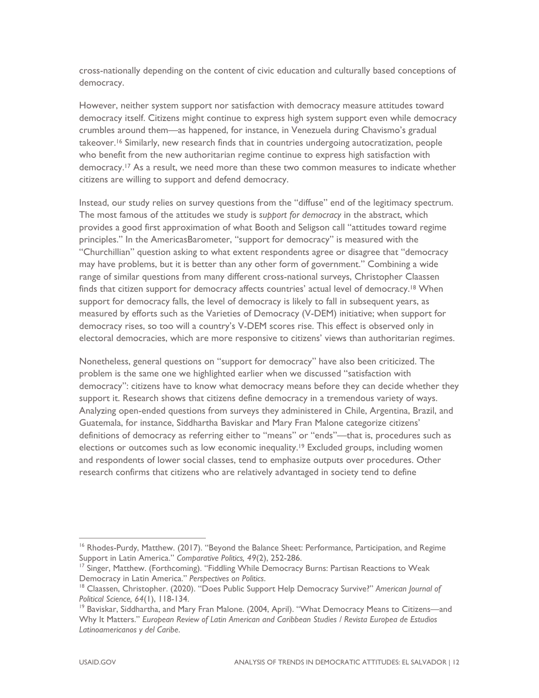cross-nationally depending on the content of civic education and culturally based conceptions of democracy.

However, neither system support nor satisfaction with democracy measure attitudes toward democracy itself. Citizens might continue to express high system support even while democracy crumbles around them—as happened, for instance, in Venezuela during Chavismo's gradual takeover.16 Similarly, new research finds that in countries undergoing autocratization, people who benefit from the new authoritarian regime continue to express high satisfaction with democracy.17 As a result, we need more than these two common measures to indicate whether citizens are willing to support and defend democracy.

Instead, our study relies on survey questions from the "diffuse" end of the legitimacy spectrum. The most famous of the attitudes we study is *support for democracy* in the abstract, which provides a good first approximation of what Booth and Seligson call "attitudes toward regime principles." In the AmericasBarometer, "support for democracy" is measured with the "Churchillian" question asking to what extent respondents agree or disagree that "democracy may have problems, but it is better than any other form of government." Combining a wide range of similar questions from many different cross-national surveys, Christopher Claassen finds that citizen support for democracy affects countries' actual level of democracy.<sup>18</sup> When support for democracy falls, the level of democracy is likely to fall in subsequent years, as measured by efforts such as the Varieties of Democracy (V-DEM) initiative; when support for democracy rises, so too will a country's V-DEM scores rise. This effect is observed only in electoral democracies, which are more responsive to citizens' views than authoritarian regimes.

Nonetheless, general questions on "support for democracy" have also been criticized. The problem is the same one we highlighted earlier when we discussed "satisfaction with democracy": citizens have to know what democracy means before they can decide whether they support it. Research shows that citizens define democracy in a tremendous variety of ways. Analyzing open-ended questions from surveys they administered in Chile, Argentina, Brazil, and Guatemala, for instance, Siddhartha Baviskar and Mary Fran Malone categorize citizens' definitions of democracy as referring either to "means" or "ends"—that is, procedures such as elections or outcomes such as low economic inequality.<sup>19</sup> Excluded groups, including women and respondents of lower social classes, tend to emphasize outputs over procedures. Other research confirms that citizens who are relatively advantaged in society tend to define

<sup>&</sup>lt;sup>16</sup> Rhodes-Purdy, Matthew. (2017). "Beyond the Balance Sheet: Performance, Participation, and Regime Support in Latin America." *Comparative Politics, 49*(2), 252-286.<br><sup>17</sup> Singer, Matthew. (Forthcoming). "Fiddling While Democracy Burns: Partisan Reactions to Weak

Democracy in Latin America." *Perspectives on Politics*.<br><sup>18</sup> Claassen, Christopher. (2020). "Does Public Support Help Democracy Survive?" *American Journal of* 

*Political Science, 64*(1), 118-134.<br><sup>19</sup> Baviskar, Siddhartha, and Mary Fran Malone. (2004, April). "What Democracy Means to Citizens—and

Why It Matters." *European Review of Latin American and Caribbean Studies / Revista Europea de Estudios Latinoamericanos y del Caribe*.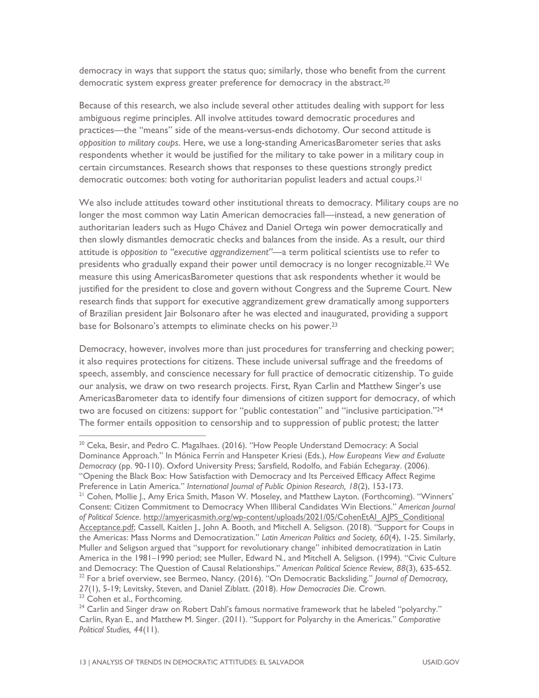democracy in ways that support the status quo; similarly, those who benefit from the current democratic system express greater preference for democracy in the abstract.<sup>20</sup>

Because of this research, we also include several other attitudes dealing with support for less ambiguous regime principles. All involve attitudes toward democratic procedures and practices—the "means" side of the means-versus-ends dichotomy. Our second attitude is *opposition to military coups*. Here, we use a long-standing AmericasBarometer series that asks respondents whether it would be justified for the military to take power in a military coup in certain circumstances. Research shows that responses to these questions strongly predict democratic outcomes: both voting for authoritarian populist leaders and actual coups.21

We also include attitudes toward other institutional threats to democracy. Military coups are no longer the most common way Latin American democracies fall—instead, a new generation of authoritarian leaders such as Hugo Chávez and Daniel Ortega win power democratically and then slowly dismantles democratic checks and balances from the inside. As a result, our third attitude is *opposition to "executive aggrandizement"*—a term political scientists use to refer to presidents who gradually expand their power until democracy is no longer recognizable.22 We measure this using AmericasBarometer questions that ask respondents whether it would be justified for the president to close and govern without Congress and the Supreme Court. New research finds that support for executive aggrandizement grew dramatically among supporters of Brazilian president Jair Bolsonaro after he was elected and inaugurated, providing a support base for Bolsonaro's attempts to eliminate checks on his power.<sup>23</sup>

Democracy, however, involves more than just procedures for transferring and checking power; it also requires protections for citizens. These include universal suffrage and the freedoms of speech, assembly, and conscience necessary for full practice of democratic citizenship. To guide our analysis, we draw on two research projects. First, Ryan Carlin and Matthew Singer's use AmericasBarometer data to identify four dimensions of citizen support for democracy, of which two are focused on citizens: support for "public contestation" and "inclusive participation."<sup>24</sup> The former entails opposition to censorship and to suppression of public protest; the latter

<sup>20</sup> Ceka, Besir, and Pedro C. Magalhaes. (2016). "How People Understand Democracy: A Social Dominance Approach." In Mónica Ferrín and Hanspeter Kriesi (Eds.), *How Europeans View and Evaluate Democracy* (pp. 90-110). Oxford University Press; Sarsfield, Rodolfo, and Fabián Echegaray. (2006). "Opening the Black Box: How Satisfaction with Democracy and Its Perceived Efficacy Affect Regime Preference in Latin America." *International Journal of Public Opinion Research, 18*(2), 153-173.<br><sup>21</sup> Cohen, Mollie J., Amy Erica Smith, Mason W. Moseley, and Matthew Layton. (Forthcoming). "Winners'

Consent: Citizen Commitment to Democracy When Illiberal Candidates Win Elections." *American Journal of Political Science*. http://amyericasmith.org/wp-content/uploads/2021/05/CohenEtAl\_AJPS\_Conditional Acceptance.pdf; Cassell, Kaitlen J., John A. Booth, and Mitchell A. Seligson. (2018). "Support for Coups in the Americas: Mass Norms and Democratization." *Latin American Politics and Society, 60*(4), 1-25. Similarly, Muller and Seligson argued that "support for revolutionary change" inhibited democratization in Latin America in the 1981–1990 period; see Muller, Edward N., and Mitchell A. Seligson. (1994). "Civic Culture and Democracy: The Question of Causal Relationships." American Political Science Review, 88(3), 635-652.  $^{22}$  For a brief overview, see Bermeo, Nancy. (2016). "On Democratic Backsliding." Journal of Democracy, *<sup>27</sup>*(1), 5-19; Levitsky, Steven, and Daniel Ziblatt. (2018). *How Democracies Die*. Crown. 23 Cohen et al., Forthcoming.

<sup>&</sup>lt;sup>24</sup> Carlin and Singer draw on Robert Dahl's famous normative framework that he labeled "polyarchy." Carlin, Ryan E., and Matthew M. Singer. (2011). "Support for Polyarchy in the Americas." *Comparative Political Studies, 44*(11).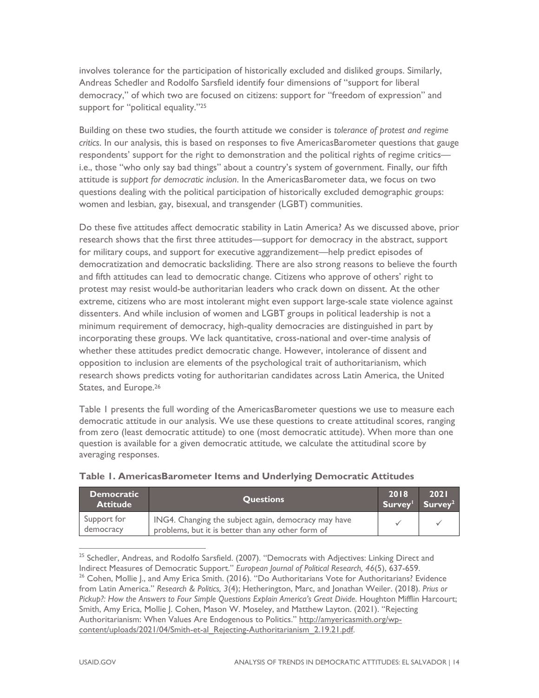involves tolerance for the participation of historically excluded and disliked groups. Similarly, Andreas Schedler and Rodolfo Sarsfield identify four dimensions of "support for liberal democracy," of which two are focused on citizens: support for "freedom of expression" and support for "political equality."<sup>25</sup>

Building on these two studies, the fourth attitude we consider is *tolerance of protest and regime critics*. In our analysis, this is based on responses to five AmericasBarometer questions that gauge respondents' support for the right to demonstration and the political rights of regime critics i.e., those "who only say bad things" about a country's system of government. Finally, our fifth attitude is *support for democratic inclusion*. In the AmericasBarometer data, we focus on two questions dealing with the political participation of historically excluded demographic groups: women and lesbian, gay, bisexual, and transgender (LGBT) communities.

Do these five attitudes affect democratic stability in Latin America? As we discussed above, prior research shows that the first three attitudes—support for democracy in the abstract, support for military coups, and support for executive aggrandizement—help predict episodes of democratization and democratic backsliding. There are also strong reasons to believe the fourth and fifth attitudes can lead to democratic change. Citizens who approve of others' right to protest may resist would-be authoritarian leaders who crack down on dissent. At the other extreme, citizens who are most intolerant might even support large-scale state violence against dissenters. And while inclusion of women and LGBT groups in political leadership is not a minimum requirement of democracy, high-quality democracies are distinguished in part by incorporating these groups. We lack quantitative, cross-national and over-time analysis of whether these attitudes predict democratic change. However, intolerance of dissent and opposition to inclusion are elements of the psychological trait of authoritarianism, which research shows predicts voting for authoritarian candidates across Latin America, the United States, and Europe.<sup>26</sup>

Table 1 presents the full wording of the AmericasBarometer questions we use to measure each democratic attitude in our analysis. We use these questions to create attitudinal scores, ranging from zero (least democratic attitude) to one (most democratic attitude). When more than one question is available for a given democratic attitude, we calculate the attitudinal score by averaging responses.

| <b>Democratic</b><br><b>Attitude</b> | <b>Questions</b>                                                                                          | 2018 | 2021<br>Survey Survey <sup>2</sup> |
|--------------------------------------|-----------------------------------------------------------------------------------------------------------|------|------------------------------------|
| Support for<br>democracy             | ING4. Changing the subject again, democracy may have<br>problems, but it is better than any other form of |      |                                    |

| Table 1. AmericasBarometer Items and Underlying Democratic Attitudes |  |  |
|----------------------------------------------------------------------|--|--|
|                                                                      |  |  |

<sup>25</sup> Schedler, Andreas, and Rodolfo Sarsfield. (2007). "Democrats with Adjectives: Linking Direct and Indirect Measures of Democratic Support." European Journal of Political Research, 46(5), 637-659. <sup>26</sup> Cohen, Mollie J., and Amy Erica Smith. (2016). "Do Authoritarians Vote for Authoritarians? Evidence from Latin America." *Research & Politics, 3*(4); Hetherington, Marc, and Jonathan Weiler. (2018). *Prius or Pickup?: How the Answers to Four Simple Questions Explain America's Great Divide*. Houghton Mifflin Harcourt; Smith, Amy Erica, Mollie J. Cohen, Mason W. Moseley, and Matthew Layton. (2021). "Rejecting Authoritarianism: When Values Are Endogenous to Politics." http://amyericasmith.org/wpcontent/uploads/2021/04/Smith-et-al\_Rejecting-Authoritarianism\_2.19.21.pdf.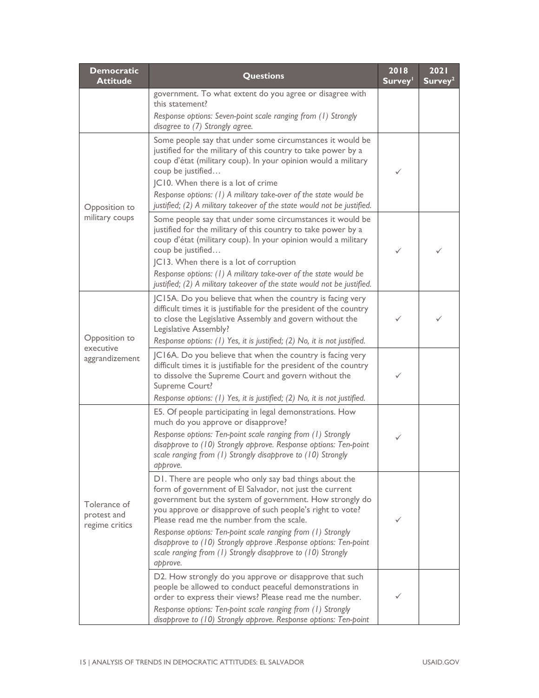| <b>Democratic</b><br><b>Attitude</b>          | <b>Questions</b>                                                                                                                                                                                                                                                                                                                                                                                                                                                                                      |   | 2021<br>Survey <sup>2</sup> |
|-----------------------------------------------|-------------------------------------------------------------------------------------------------------------------------------------------------------------------------------------------------------------------------------------------------------------------------------------------------------------------------------------------------------------------------------------------------------------------------------------------------------------------------------------------------------|---|-----------------------------|
|                                               | government. To what extent do you agree or disagree with<br>this statement?<br>Response options: Seven-point scale ranging from (1) Strongly<br>disagree to (7) Strongly agree.                                                                                                                                                                                                                                                                                                                       |   |                             |
| Opposition to<br>military coups               | Some people say that under some circumstances it would be<br>justified for the military of this country to take power by a<br>coup d'état (military coup). In your opinion would a military<br>coup be justified<br>JC10. When there is a lot of crime<br>Response options: (1) A military take-over of the state would be<br>justified; (2) A military takeover of the state would not be justified.                                                                                                 | ✓ |                             |
|                                               | Some people say that under some circumstances it would be<br>justified for the military of this country to take power by a<br>coup d'état (military coup). In your opinion would a military<br>coup be justified<br>JC13. When there is a lot of corruption<br>Response options: (1) A military take-over of the state would be<br>justified; (2) A military takeover of the state would not be justified.                                                                                            | ✓ |                             |
| Opposition to<br>executive<br>aggrandizement  | JC15A. Do you believe that when the country is facing very<br>difficult times it is justifiable for the president of the country<br>to close the Legislative Assembly and govern without the<br>Legislative Assembly?<br>Response options: (1) Yes, it is justified; (2) No, it is not justified.                                                                                                                                                                                                     |   |                             |
|                                               | JC16A. Do you believe that when the country is facing very<br>difficult times it is justifiable for the president of the country<br>to dissolve the Supreme Court and govern without the<br>Supreme Court?<br>Response options: (1) Yes, it is justified; (2) No, it is not justified.                                                                                                                                                                                                                |   |                             |
|                                               | E5. Of people participating in legal demonstrations. How<br>much do you approve or disapprove?<br>Response options: Ten-point scale ranging from (1) Strongly<br>disapprove to (10) Strongly approve. Response options: Ten-point<br>scale ranging from (1) Strongly disapprove to (10) Strongly<br>approve.                                                                                                                                                                                          | ✓ |                             |
| Tolerance of<br>protest and<br>regime critics | D1. There are people who only say bad things about the<br>form of government of El Salvador, not just the current<br>government but the system of government. How strongly do<br>you approve or disapprove of such people's right to vote?<br>Please read me the number from the scale.<br>Response options: Ten-point scale ranging from (1) Strongly<br>disapprove to (10) Strongly approve .Response options: Ten-point<br>scale ranging from (1) Strongly disapprove to (10) Strongly<br>approve. | ✓ |                             |
|                                               | D2. How strongly do you approve or disapprove that such<br>people be allowed to conduct peaceful demonstrations in<br>order to express their views? Please read me the number.<br>Response options: Ten-point scale ranging from (1) Strongly<br>disapprove to (10) Strongly approve. Response options: Ten-point                                                                                                                                                                                     |   |                             |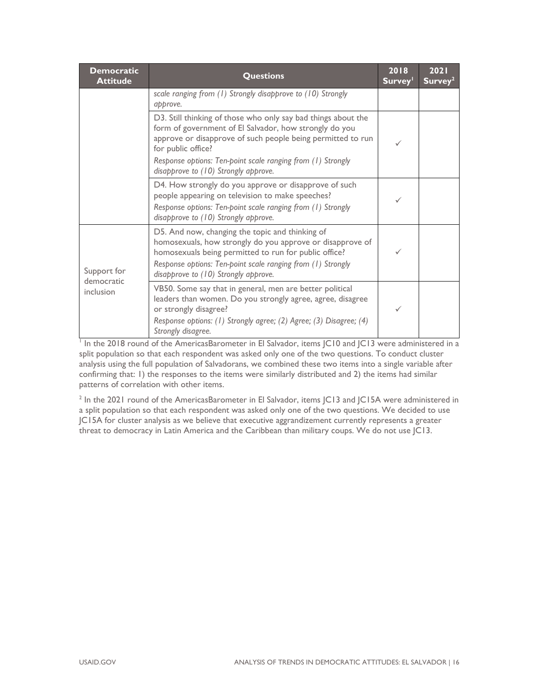| <b>Democratic</b><br><b>Attitude</b> | <b>Questions</b>                                                                                                                                                                                                                                                             | 2018<br>Survey <sup>1</sup> | 2021<br>Survey <sup>2</sup> |
|--------------------------------------|------------------------------------------------------------------------------------------------------------------------------------------------------------------------------------------------------------------------------------------------------------------------------|-----------------------------|-----------------------------|
|                                      | scale ranging from (1) Strongly disapprove to (10) Strongly<br>approve.                                                                                                                                                                                                      |                             |                             |
|                                      | D3. Still thinking of those who only say bad things about the<br>form of government of El Salvador, how strongly do you<br>approve or disapprove of such people being permitted to run<br>for public office?                                                                 | ✓                           |                             |
|                                      | Response options: Ten-point scale ranging from (1) Strongly<br>disapprove to (10) Strongly approve.                                                                                                                                                                          |                             |                             |
|                                      | D4. How strongly do you approve or disapprove of such<br>people appearing on television to make speeches?<br>Response options: Ten-point scale ranging from (1) Strongly<br>disapprove to (10) Strongly approve.                                                             |                             |                             |
| Support for                          | D5. And now, changing the topic and thinking of<br>homosexuals, how strongly do you approve or disapprove of<br>homosexuals being permitted to run for public office?<br>Response options: Ten-point scale ranging from (1) Strongly<br>disapprove to (10) Strongly approve. | ✓                           |                             |
| democratic<br>inclusion              | VB50. Some say that in general, men are better political<br>leaders than women. Do you strongly agree, agree, disagree<br>or strongly disagree?<br>Response options: (1) Strongly agree; (2) Agree; (3) Disagree; (4)<br>Strongly disagree.                                  | ✓                           |                             |

<sup>1</sup> In the 2018 round of the AmericasBarometer in El Salvador, items JC10 and JC13 were administered in a split population so that each respondent was asked only one of the two questions. To conduct cluster analysis using the full population of Salvadorans, we combined these two items into a single variable after confirming that: 1) the responses to the items were similarly distributed and 2) the items had similar patterns of correlation with other items.

 $^2$  In the 2021 round of the AmericasBarometer in El Salvador, items JC13 and JC15A were administered in a split population so that each respondent was asked only one of the two questions. We decided to use JC15A for cluster analysis as we believe that executive aggrandizement currently represents a greater threat to democracy in Latin America and the Caribbean than military coups. We do not use JC13.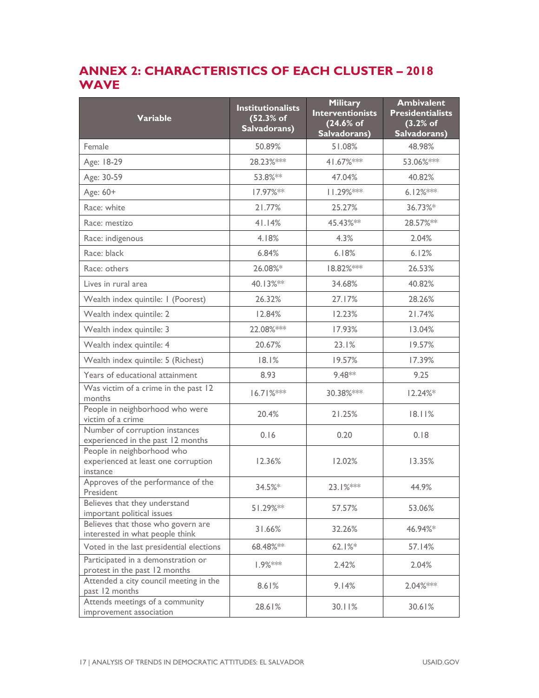## **ANNEX 2: CHARACTERISTICS OF EACH CLUSTER – 2018 WAVE**

| <b>Variable</b>                                                               | <b>Institutionalists</b><br>(52.3% of<br>Salvadorans) | <b>Military</b><br><b>Interventionists</b><br>(24.6% of<br>Salvadorans) | <b>Ambivalent</b><br><b>Presidentialists</b><br>$(3.2%$ of<br>Salvadorans) |
|-------------------------------------------------------------------------------|-------------------------------------------------------|-------------------------------------------------------------------------|----------------------------------------------------------------------------|
| Female                                                                        | 50.89%                                                | 51.08%                                                                  | 48.98%                                                                     |
| Age: 18-29                                                                    | 28.23%***                                             | 41.67% ***                                                              | 53.06%***                                                                  |
| Age: 30-59                                                                    | 53.8%**                                               | 47.04%                                                                  | 40.82%                                                                     |
| Age: 60+                                                                      | 17.97%**                                              | $11.29%***$                                                             | $6.12%***$                                                                 |
| Race: white                                                                   | 21.77%                                                | 25.27%                                                                  | 36.73%*                                                                    |
| Race: mestizo                                                                 | 41.14%                                                | 45.43%**                                                                | 28.57%**                                                                   |
| Race: indigenous                                                              | 4.18%                                                 | 4.3%                                                                    | 2.04%                                                                      |
| Race: black                                                                   | 6.84%                                                 | 6.18%                                                                   | 6.12%                                                                      |
| Race: others                                                                  | 26.08%*                                               | 18.82% ***                                                              | 26.53%                                                                     |
| Lives in rural area                                                           | 40.13%**                                              | 34.68%                                                                  | 40.82%                                                                     |
| Wealth index quintile: I (Poorest)                                            | 26.32%                                                | 27.17%                                                                  | 28.26%                                                                     |
| Wealth index quintile: 2                                                      | 12.84%                                                | 12.23%                                                                  | 21.74%                                                                     |
| Wealth index quintile: 3                                                      | 22.08% ***                                            | 17.93%                                                                  | 13.04%                                                                     |
| Wealth index quintile: 4                                                      | 20.67%                                                | 23.1%                                                                   | 19.57%                                                                     |
| Wealth index quintile: 5 (Richest)                                            | 18.1%                                                 | 19.57%                                                                  | 17.39%                                                                     |
| Years of educational attainment                                               | 8.93                                                  | 9.48**                                                                  | 9.25                                                                       |
| Was victim of a crime in the past 12<br>months                                | $16.71%***$                                           | 30.38% ***                                                              | 12.24%                                                                     |
| People in neighborhood who were<br>victim of a crime                          | 20.4%                                                 | 21.25%                                                                  | 18.11%                                                                     |
| Number of corruption instances<br>experienced in the past 12 months           | 0.16                                                  | 0.20                                                                    | 0.18                                                                       |
| People in neighborhood who<br>experienced at least one corruption<br>instance | 12.36%                                                | 12.02%                                                                  | 13.35%                                                                     |
| Approves of the performance of the<br>President                               | 34.5%*                                                | 23.1%***                                                                | 44.9%                                                                      |
| Believes that they understand<br>important political issues                   | 51.29%**                                              | 57.57%                                                                  | 53.06%                                                                     |
| Believes that those who govern are<br>interested in what people think         | 31.66%                                                | 32.26%                                                                  | 46.94%*                                                                    |
| Voted in the last presidential elections                                      | 68.48% **                                             | 62.1%                                                                   | 57.14%                                                                     |
| Participated in a demonstration or<br>protest in the past 12 months           | 1.9% ***                                              | 2.42%                                                                   | 2.04%                                                                      |
| Attended a city council meeting in the<br>past 12 months                      | 8.61%                                                 | 9.14%                                                                   | 2.04% ***                                                                  |
| Attends meetings of a community<br>improvement association                    | 28.61%                                                | 30.11%                                                                  | 30.61%                                                                     |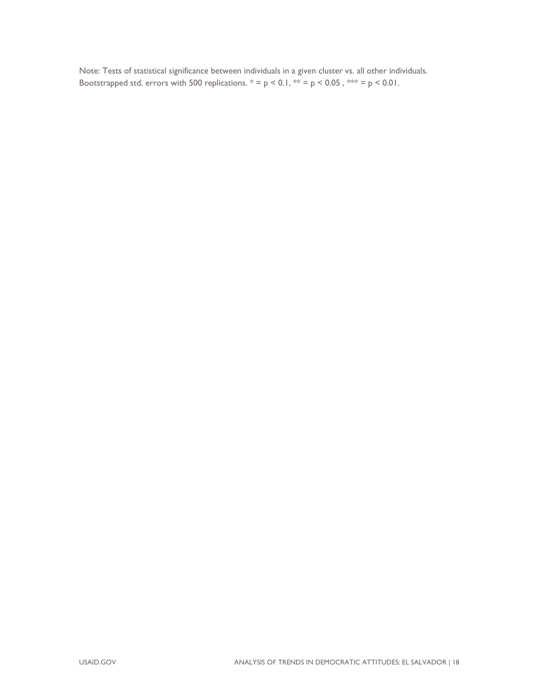Note: Tests of statistical significance between individuals in a given cluster vs. all other individuals. Bootstrapped std. errors with 500 replications.  $* = p < 0.1$ ,  $** = p < 0.05$ ,  $*** = p < 0.01$ .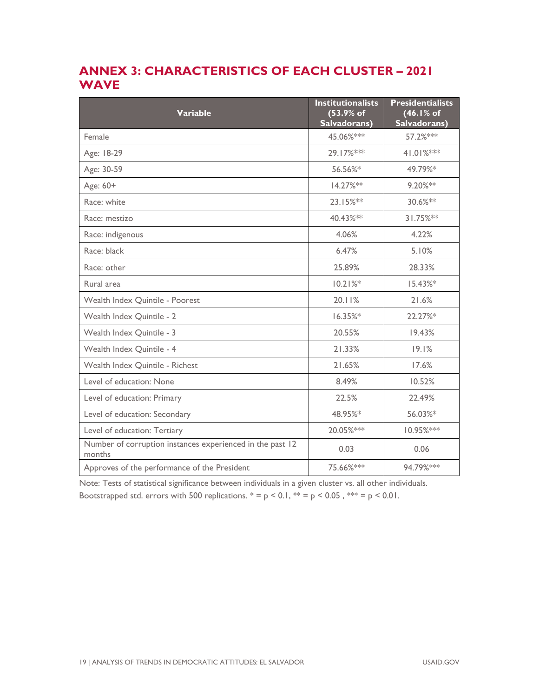## **ANNEX 3: CHARACTERISTICS OF EACH CLUSTER – 2021 WAVE**

| <b>Variable</b>                                                     | <b>Institutionalists</b><br>(53.9% of<br>Salvadorans) | <b>Presidentialists</b><br>(46.1% of<br>Salvadorans) |
|---------------------------------------------------------------------|-------------------------------------------------------|------------------------------------------------------|
| Female                                                              | 45.06%***                                             | 57.2%***                                             |
| Age: 18-29                                                          | 29.17% ***                                            | 41.01%***                                            |
| Age: 30-59                                                          | 56.56%*                                               | 49.79%*                                              |
| Age: 60+                                                            | 14.27%**                                              | 9.20%**                                              |
| Race: white                                                         | 23.15%**                                              | 30.6%**                                              |
| Race: mestizo                                                       | 40.43%**                                              | 31.75%**                                             |
| Race: indigenous                                                    | 4.06%                                                 | 4.22%                                                |
| Race: black                                                         | 6.47%                                                 | 5.10%                                                |
| Race: other                                                         | 25.89%                                                | 28.33%                                               |
| Rural area                                                          | 10.21%                                                | 15.43%*                                              |
| Wealth Index Quintile - Poorest                                     | 20.11%                                                | 21.6%                                                |
| Wealth Index Quintile - 2                                           | 16.35%*                                               | 22.27%*                                              |
| Wealth Index Quintile - 3                                           | 20.55%                                                | 19.43%                                               |
| Wealth Index Quintile - 4                                           | 21.33%                                                | 19.1%                                                |
| Wealth Index Quintile - Richest                                     | 21.65%                                                | 17.6%                                                |
| Level of education: None                                            | 8.49%                                                 | 10.52%                                               |
| Level of education: Primary                                         | 22.5%                                                 | 22.49%                                               |
| Level of education: Secondary                                       | 48.95%*                                               | 56.03%*                                              |
| Level of education: Tertiary                                        | 20.05% ***                                            | 10.95% ***                                           |
| Number of corruption instances experienced in the past 12<br>months | 0.03                                                  | 0.06                                                 |
| Approves of the performance of the President                        | 75.66% ***                                            | 94.79% ***                                           |

Note: Tests of statistical significance between individuals in a given cluster vs. all other individuals. Bootstrapped std. errors with 500 replications.  $* = p < 0.1$ ,  $** = p < 0.05$ ,  $*** = p < 0.01$ .